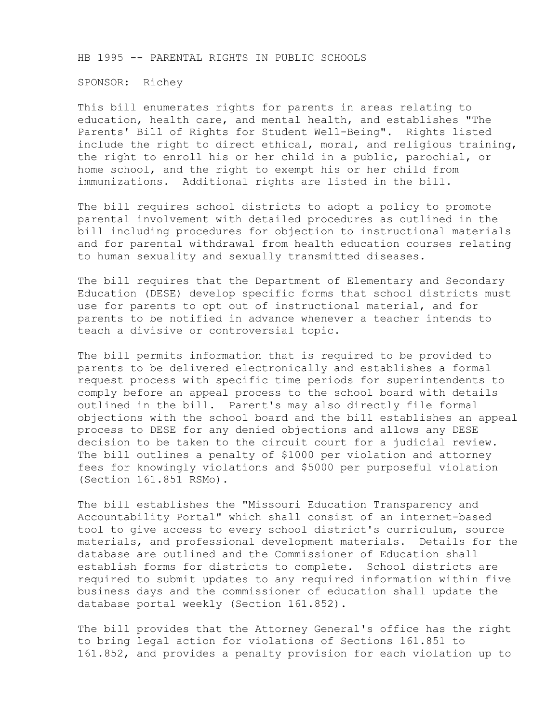HB 1995 -- PARENTAL RIGHTS IN PUBLIC SCHOOLS

SPONSOR: Richey

This bill enumerates rights for parents in areas relating to education, health care, and mental health, and establishes "The Parents' Bill of Rights for Student Well-Being". Rights listed include the right to direct ethical, moral, and religious training, the right to enroll his or her child in a public, parochial, or home school, and the right to exempt his or her child from immunizations. Additional rights are listed in the bill.

The bill requires school districts to adopt a policy to promote parental involvement with detailed procedures as outlined in the bill including procedures for objection to instructional materials and for parental withdrawal from health education courses relating to human sexuality and sexually transmitted diseases.

The bill requires that the Department of Elementary and Secondary Education (DESE) develop specific forms that school districts must use for parents to opt out of instructional material, and for parents to be notified in advance whenever a teacher intends to teach a divisive or controversial topic.

The bill permits information that is required to be provided to parents to be delivered electronically and establishes a formal request process with specific time periods for superintendents to comply before an appeal process to the school board with details outlined in the bill. Parent's may also directly file formal objections with the school board and the bill establishes an appeal process to DESE for any denied objections and allows any DESE decision to be taken to the circuit court for a judicial review. The bill outlines a penalty of \$1000 per violation and attorney fees for knowingly violations and \$5000 per purposeful violation (Section 161.851 RSMo).

The bill establishes the "Missouri Education Transparency and Accountability Portal" which shall consist of an internet-based tool to give access to every school district's curriculum, source materials, and professional development materials. Details for the database are outlined and the Commissioner of Education shall establish forms for districts to complete. School districts are required to submit updates to any required information within five business days and the commissioner of education shall update the database portal weekly (Section 161.852).

The bill provides that the Attorney General's office has the right to bring legal action for violations of Sections 161.851 to 161.852, and provides a penalty provision for each violation up to